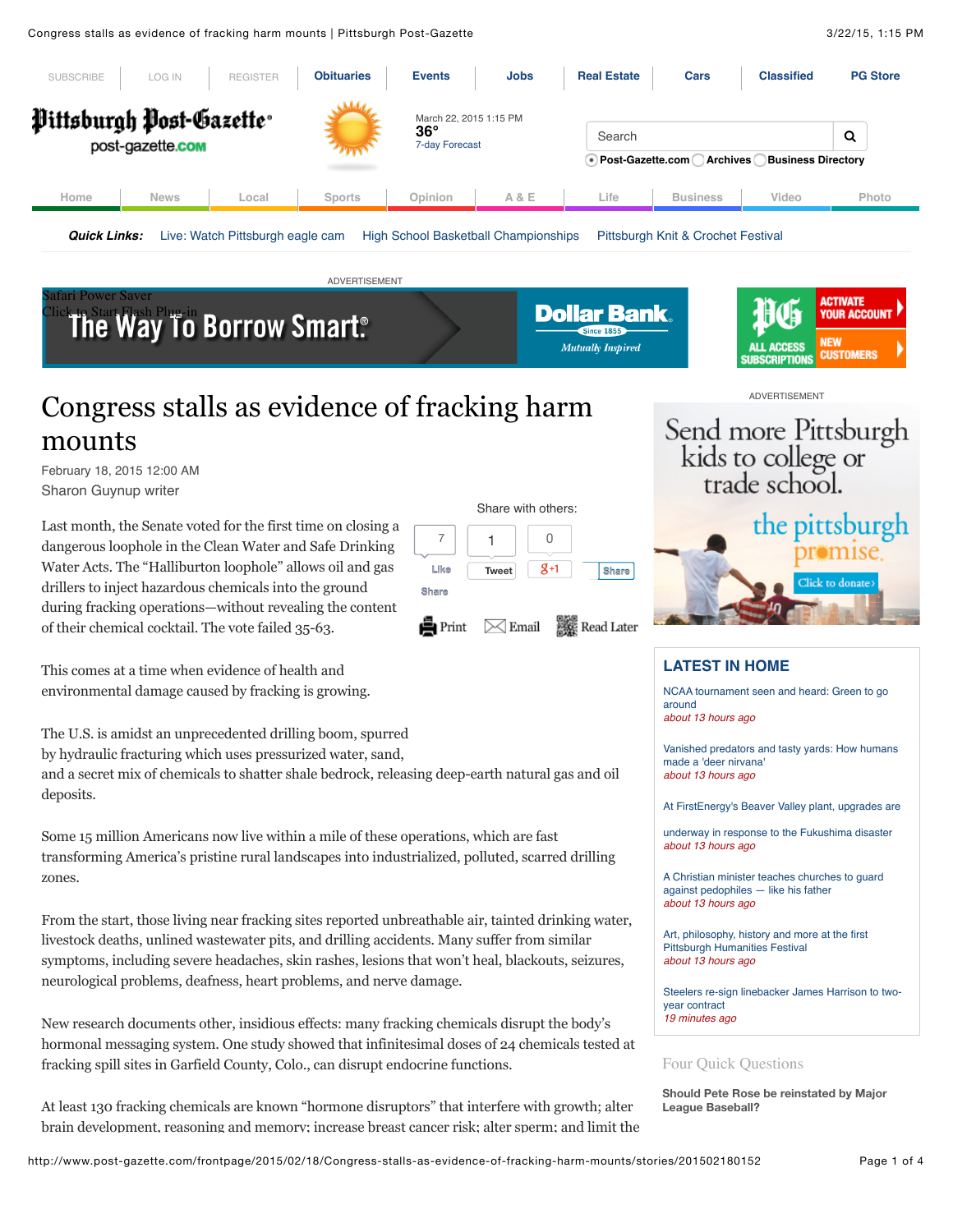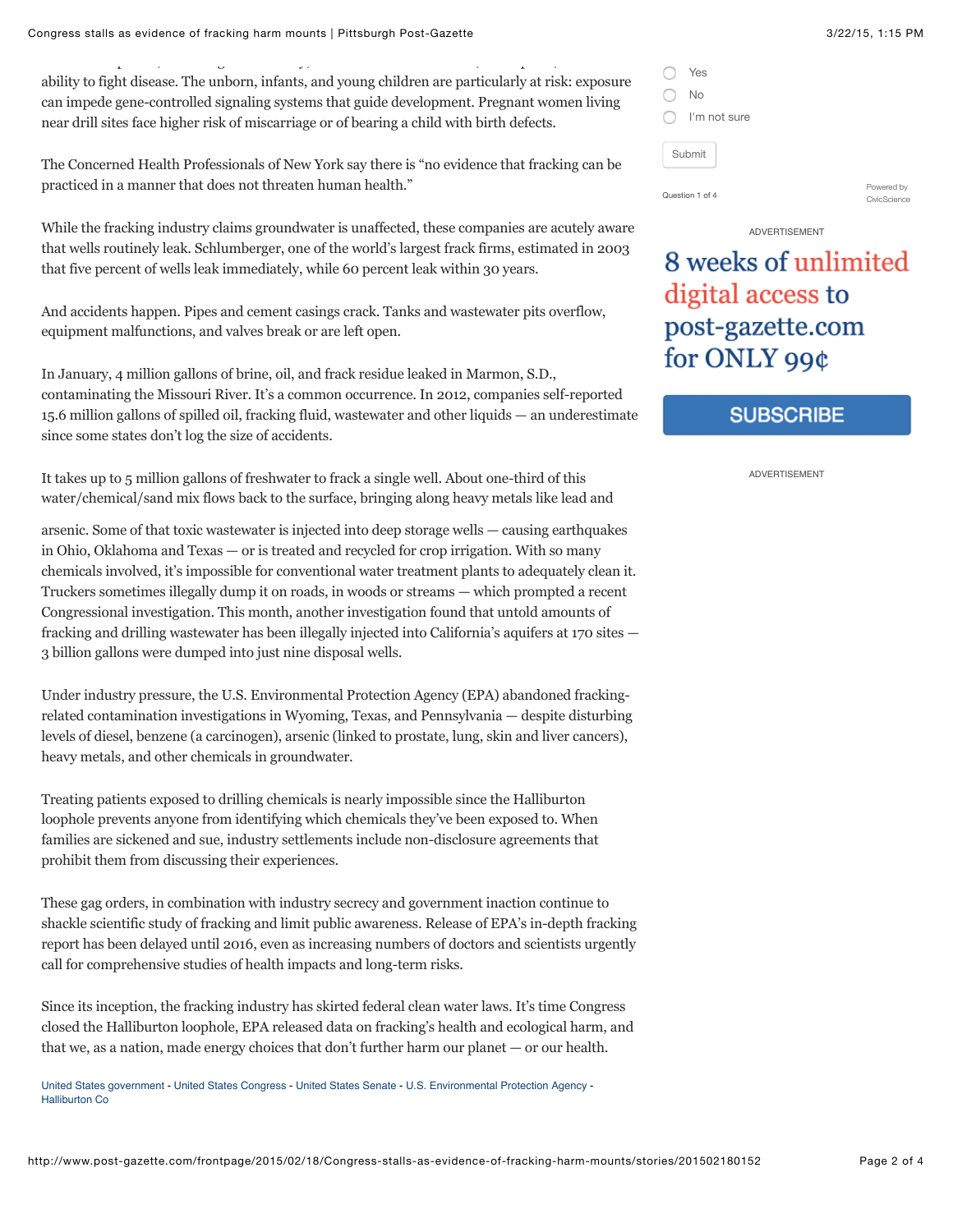Congress stalls as evidence of fracking harm mounts | Pittsburgh Post-Gazette 3/22/15, 1:15 PM

brain development, reasoning and memory; increase breast cancer risk; alter sperm; and limit the ability to fight disease. The unborn, infants, and young children are particularly at risk: exposure can impede gene-controlled signaling systems that guide development. Pregnant women living near drill sites face higher risk of miscarriage or of bearing a child with birth defects.

The Concerned Health Professionals of New York say there is "no evidence that fracking can be practiced in a manner that does not threaten human health."

While the fracking industry claims groundwater is unaffected, these companies are acutely aware that wells routinely leak. Schlumberger, one of the world's largest frack firms, estimated in 2003 that five percent of wells leak immediately, while 60 percent leak within 30 years.

And accidents happen. Pipes and cement casings crack. Tanks and wastewater pits overflow, equipment malfunctions, and valves break or are left open.

In January, 4 million gallons of brine, oil, and frack residue leaked in Marmon, S.D., contaminating the Missouri River. It's a common occurrence. In 2012, companies self-reported 15.6 million gallons of spilled oil, fracking fluid, wastewater and other liquids — an underestimate since some states don't log the size of accidents.

It takes up to 5 million gallons of freshwater to frack a single well. About one-third of this water/chemical/sand mix flows back to the surface, bringing along heavy metals like lead and

arsenic. Some of that toxic wastewater is injected into deep storage wells — causing earthquakes in Ohio, Oklahoma and Texas — or is treated and recycled for crop irrigation. With so many chemicals involved, it's impossible for conventional water treatment plants to adequately clean it. Truckers sometimes illegally dump it on roads, in woods or streams — which prompted a recent Congressional investigation. This month, another investigation found that untold amounts of fracking and drilling wastewater has been illegally injected into California's aquifers at 170 sites — 3 billion gallons were dumped into just nine disposal wells.

Under industry pressure, the U.S. Environmental Protection Agency (EPA) abandoned frackingrelated contamination investigations in Wyoming, Texas, and Pennsylvania — despite disturbing levels of diesel, benzene (a carcinogen), arsenic (linked to prostate, lung, skin and liver cancers), heavy metals, and other chemicals in groundwater.

Treating patients exposed to drilling chemicals is nearly impossible since the Halliburton loophole prevents anyone from identifying which chemicals they've been exposed to. When families are sickened and sue, industry settlements include non-disclosure agreements that prohibit them from discussing their experiences.

These gag orders, in combination with industry secrecy and government inaction continue to shackle scientific study of fracking and limit public awareness. Release of EPA's in-depth fracking report has been delayed until 2016, even as increasing numbers of doctors and scientists urgently call for comprehensive studies of health impacts and long-term risks.

Since its inception, the fracking industry has skirted federal clean water laws. It's time Congress closed the Halliburton loophole, EPA released data on fracking's health and ecological harm, and that we, as a nation, made energy choices that don't further harm our planet — or our health.

[United States government](http://www.post-gazette.com/stories/tags/United%20States%20government) - [United States Congress](http://www.post-gazette.com/stories/tags/United%20States%20Congress) - [United States Senate](http://www.post-gazette.com/stories/tags/United%20States%20Senate) - [U.S. Environmental Protection Agency](http://www.post-gazette.com/stories/tags/U.S.%20Environmental%20Protection%20Agency) - [Halliburton Co](http://www.post-gazette.com/stories/tags/Halliburton%20Co)

|                 | Yes          |                            |
|-----------------|--------------|----------------------------|
|                 | No           |                            |
|                 | I'm not sure |                            |
| Submit          |              |                            |
| Question 1 of 4 |              | Powered by<br>CivicScience |

#### ADVERTISEMENT

# 8 weeks of unlimited digital access to post-gazette.com for ONLY 99¢

# **SUBSCRIBE**

ADVERTISEMENT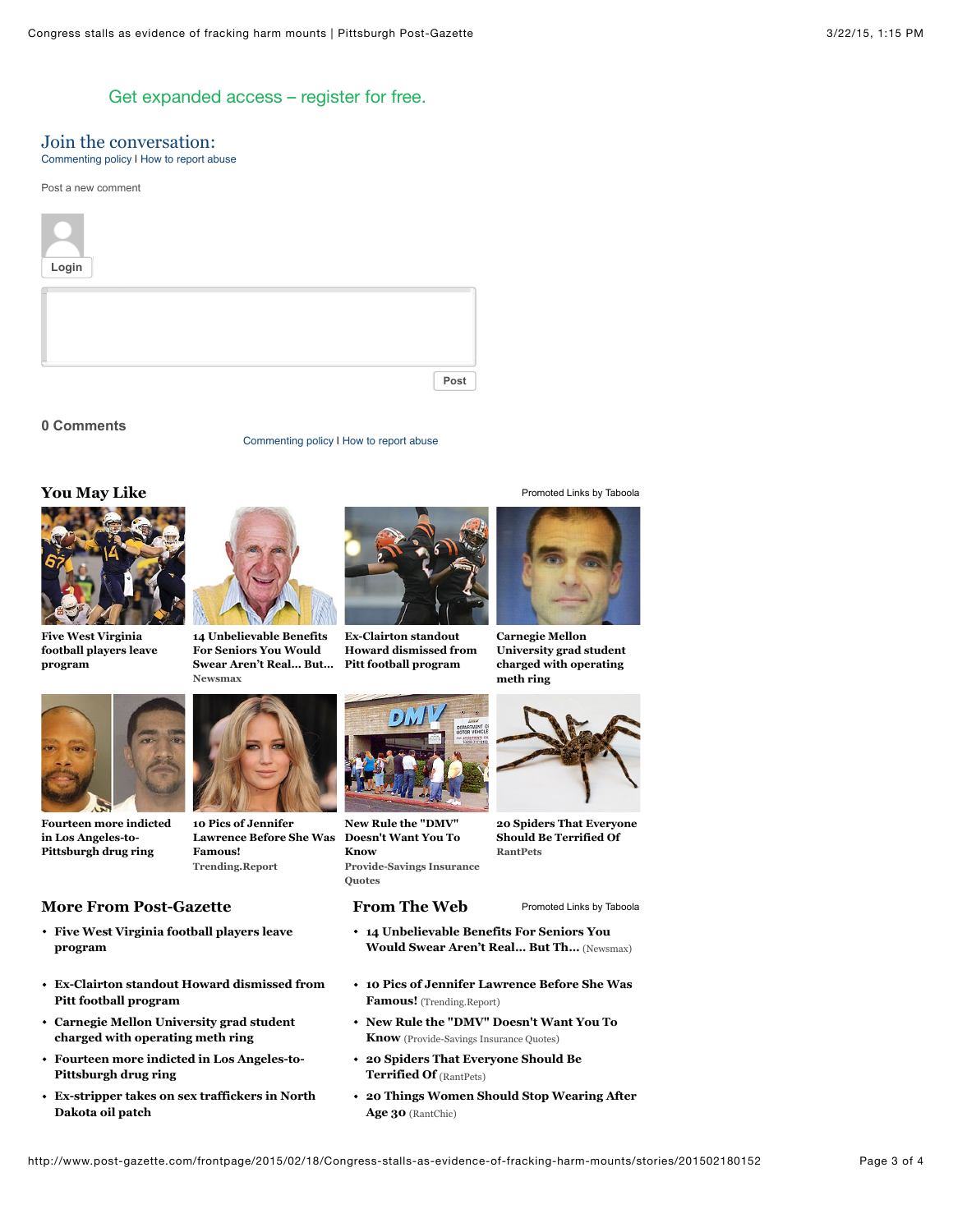## [Get expanded access – register for free.](http://my.post-gazette.com/register/)

## Join the conversation:

[Commenting policy](http://www.post-gazette.com/frontpage/2008/07/31/Guide-to-commenting/stories/200807310458) I [How to report abuse](http://www.post-gazette.com/frontpage/2015/02/18/Congress-stalls-as-evidence-of-fracking-harm-mounts/stories/201502180152#abuse)

Post a new comment



#### **0 Comments**

#### **You May Like [Promoted Links](http://www.taboola.com/en/popup?template=colorbox&taboola_utm_source=postgazette&taboola_utm_medium=bytaboola&taboola_utm_content=autosized-generated-2r:bottom-main-column:) [by Taboola](http://www.taboola.com/en/popup?template=colorbox&taboola_utm_source=postgazette&taboola_utm_medium=bytaboola&taboola_utm_content=autosized-generated-2r:bottom-main-column:)**



**Five West Virginia [football players leave](http://www.post-gazette.com/sports/wvu/2015/03/10/Five-West-Virginia-football-players-leave-program/stories/201503100082) program**

**[Fourteen more indicted](http://www.post-gazette.com/local/city/2015/03/05/14-additional-people-charged-in-federal-Los-Angeles-to-Pittsburgh-drug-case/stories/201503050191) in Los Angeles-to-Pittsburgh drug ring**

**Pitt football program**

**Pittsburgh drug ring**

**Dakota oil patch**

**program**



**Newsmax 14 Unbelievable Benefits For Seniors You Would [Swear Aren't Real… But…](http://www.moneynews.com/MKTNews/Senior-Benefits-Discounts/2013/07/01/id/512858/?promo_code=159F1-1&utm_source=taboola&utm_medium=referral)**

**Trending.Report**

**Famous!**

**[Five West Virginia football players leave](http://www.post-gazette.com/sports/wvu/2015/03/10/Five-West-Virginia-football-players-leave-program/stories/201503100082)**

**[Carnegie Mellon University grad student](http://www.post-gazette.com/local/city/2015/03/11/CMU-grad-student-charged-with-operating-meth-ring/stories/201503110209) charged with operating meth ring [Fourteen more indicted in Los Angeles-to-](http://www.post-gazette.com/local/city/2015/03/05/14-additional-people-charged-in-federal-Los-Angeles-to-Pittsburgh-drug-case/stories/201503050191)**

**[Ex-stripper takes on sex traffickers in North](http://powersource.post-gazette.com/news/nation/2015/03/09/Ex-stripper-takes-on-sex-traffickers-in-oil-patch-lauded-as-the-real-deal-by-prosecutor/stories/201503090104)**

**[Ex-Clairton standout Howard dismissed from](http://www.post-gazette.com/sports/Pitt/2015/02/23/Ex-Clairton-standout-Titus-Howard-dismissed-from-Pitt-football-program/stories/201502230167)**

**10 Pics of Jennifer [Lawrence Before She Was](http://trending.report/jennifer-lawrence-before-fame/?utm_source=taboolausasafedt&utm_medium=referral&utm_term=postgazette)**



[Commenting policy](http://www.post-gazette.com/frontpage/2008/07/31/Guide-to-commenting/stories/200807310458) | [How to report abuse](http://www.post-gazette.com/frontpage/2015/02/18/Congress-stalls-as-evidence-of-fracking-harm-mounts/stories/201502180152#abuse)

**Ex-Clairton standout [Howard dismissed from](http://www.post-gazette.com/sports/Pitt/2015/02/23/Ex-Clairton-standout-Titus-Howard-dismissed-from-Pitt-football-program/stories/201502230167) Pitt football program**



**[Provide-Savings Insurance](http://track.mytrkz.com/f7f9b07b-8dfa-4b6c-88ff-4290b5008fa4?myvar=dmvtitle2&&site=postgazette) Quotes New Rule the "DMV" Doesn't Want You To Know RantPets**

#### **More From Post-Gazette From The Web**

- **[14 Unbelievable Benefits For Seniors You](http://www.moneynews.com/MKTNews/Senior-Benefits-Discounts/2013/07/01/id/512858/?promo_code=159F1-1&utm_source=taboola&utm_medium=referral) Would Swear Aren't Real… But Th…** (Newsmax)
- **[10 Pics of Jennifer Lawrence Before She Was](http://trending.report/jennifer-lawrence-before-fame/?utm_source=taboolausasafedt&utm_medium=referral&utm_term=postgazette) Famous!** (Trending.Report)
- **[New Rule the "DMV" Doesn't Want You To](http://track.mytrkz.com/f7f9b07b-8dfa-4b6c-88ff-4290b5008fa4?myvar=dmvtitle2&&site=postgazette) Know** (Provide-Savings Insurance Quotes)
- **[20 Spiders That Everyone Should Be](http://www.rantpets.com/2014/11/05/20-most-terrifying-spiders-on-earth/?utm_medium=referral&utm_campaign=retest&utm_source=Taboola&utm_term=Title3&utm_content=postgazette) Terrified Of** (RantPets)
- **[20 Things Women Should Stop Wearing After](http://www.rantchic.com/2014/10/24/20-things-women-should-stop-wearing-after-age-30/?utm_source=Taboola&utm_medium=referral&utm_term=Title1&utm_content=postgazette) Age 30** (RantChic)



**Carnegie Mellon [University grad student](http://www.post-gazette.com/local/city/2015/03/11/CMU-grad-student-charged-with-operating-meth-ring/stories/201503110209) charged with operating meth ring**



**[20 Spiders That Everyone](http://www.rantpets.com/2014/11/05/20-most-terrifying-spiders-on-earth/?utm_medium=referral&utm_campaign=retest&utm_source=Taboola&utm_term=Title3&utm_content=postgazette) Should Be Terrified Of**

[Promoted Links](http://www.taboola.com/en/popup?template=colorbox&taboola_utm_source=postgazette&taboola_utm_medium=bytaboola&taboola_utm_content=autosized-generated-text-links-5r:text-2-columns:) [by Taboola](http://www.taboola.com/en/popup?template=colorbox&taboola_utm_source=postgazette&taboola_utm_medium=bytaboola&taboola_utm_content=autosized-generated-text-links-5r:text-2-columns:)

http://www.post-gazette.com/frontpage/2015/02/18/Congress-stalls-as-evidence-of-fracking-harm-mounts/stories/201502180152 Page 3 of 4